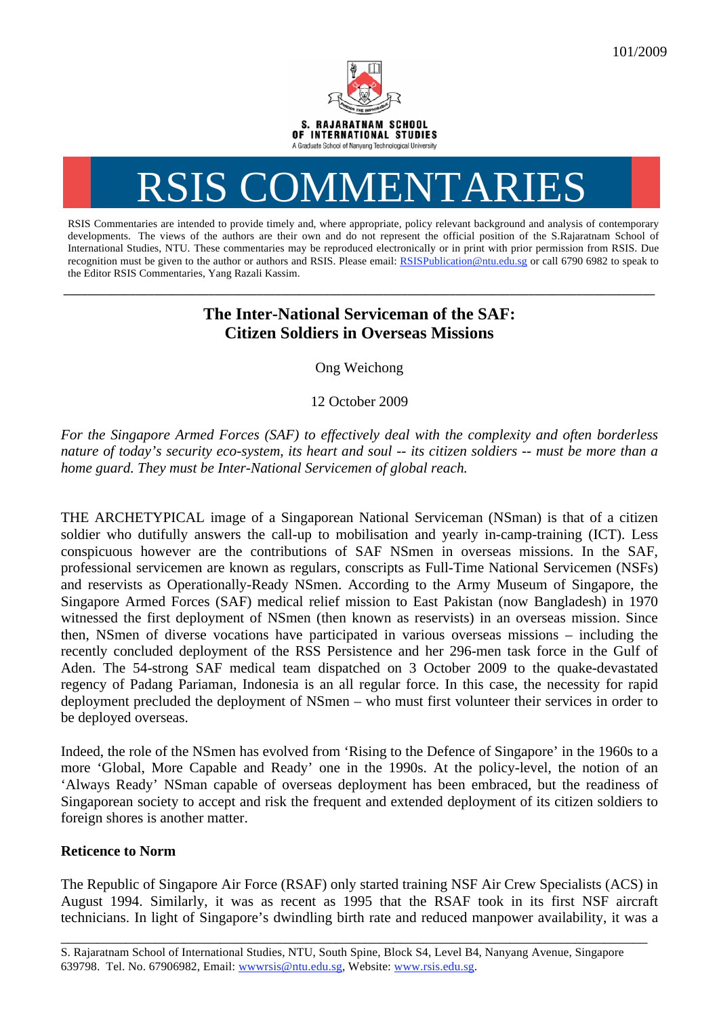

## RSIS COMMENTARIES

RSIS Commentaries are intended to provide timely and, where appropriate, policy relevant background and analysis of contemporary developments. The views of the authors are their own and do not represent the official position of the S.Rajaratnam School of International Studies, NTU. These commentaries may be reproduced electronically or in print with prior permission from RSIS. Due recognition must be given to the author or authors and RSIS. Please email: RSISPublication@ntu.edu.sg or call 6790 6982 to speak to the Editor RSIS Commentaries, Yang Razali Kassim.

## **The Inter-National Serviceman of the SAF: Citizen Soldiers in Overseas Missions**

**\_\_\_\_\_\_\_\_\_\_\_\_\_\_\_\_\_\_\_\_\_\_\_\_\_\_\_\_\_\_\_\_\_\_\_\_\_\_\_\_\_\_\_\_\_\_\_\_\_\_\_\_\_\_\_\_\_\_\_\_\_\_\_\_\_\_\_\_\_\_\_\_\_\_\_\_\_\_\_\_\_\_\_\_\_\_\_\_\_\_\_\_\_\_\_\_\_\_** 

Ong Weichong

12 October 2009

*For the Singapore Armed Forces (SAF) to effectively deal with the complexity and often borderless nature of today's security eco-system, its heart and soul -- its citizen soldiers -- must be more than a home guard. They must be Inter-National Servicemen of global reach.* 

THE ARCHETYPICAL image of a Singaporean National Serviceman (NSman) is that of a citizen soldier who dutifully answers the call-up to mobilisation and yearly in-camp-training (ICT). Less conspicuous however are the contributions of SAF NSmen in overseas missions. In the SAF, professional servicemen are known as regulars, conscripts as Full-Time National Servicemen (NSFs) and reservists as Operationally-Ready NSmen. According to the Army Museum of Singapore, the Singapore Armed Forces (SAF) medical relief mission to East Pakistan (now Bangladesh) in 1970 witnessed the first deployment of NSmen (then known as reservists) in an overseas mission. Since then, NSmen of diverse vocations have participated in various overseas missions – including the recently concluded deployment of the RSS Persistence and her 296-men task force in the Gulf of Aden. The 54-strong SAF medical team dispatched on 3 October 2009 to the quake-devastated regency of Padang Pariaman, Indonesia is an all regular force. In this case, the necessity for rapid deployment precluded the deployment of NSmen – who must first volunteer their services in order to be deployed overseas.

Indeed, the role of the NSmen has evolved from 'Rising to the Defence of Singapore' in the 1960s to a more 'Global, More Capable and Ready' one in the 1990s. At the policy-level, the notion of an 'Always Ready' NSman capable of overseas deployment has been embraced, but the readiness of Singaporean society to accept and risk the frequent and extended deployment of its citizen soldiers to foreign shores is another matter.

## **Reticence to Norm**

The Republic of Singapore Air Force (RSAF) only started training NSF Air Crew Specialists (ACS) in August 1994. Similarly, it was as recent as 1995 that the RSAF took in its first NSF aircraft technicians. In light of Singapore's dwindling birth rate and reduced manpower availability, it was a

\_\_\_\_\_\_\_\_\_\_\_\_\_\_\_\_\_\_\_\_\_\_\_\_\_\_\_\_\_\_\_\_\_\_\_\_\_\_\_\_\_\_\_\_\_\_\_\_\_\_\_\_\_\_\_\_\_\_\_\_\_\_\_\_\_\_\_\_\_\_\_\_\_\_\_\_\_\_\_\_\_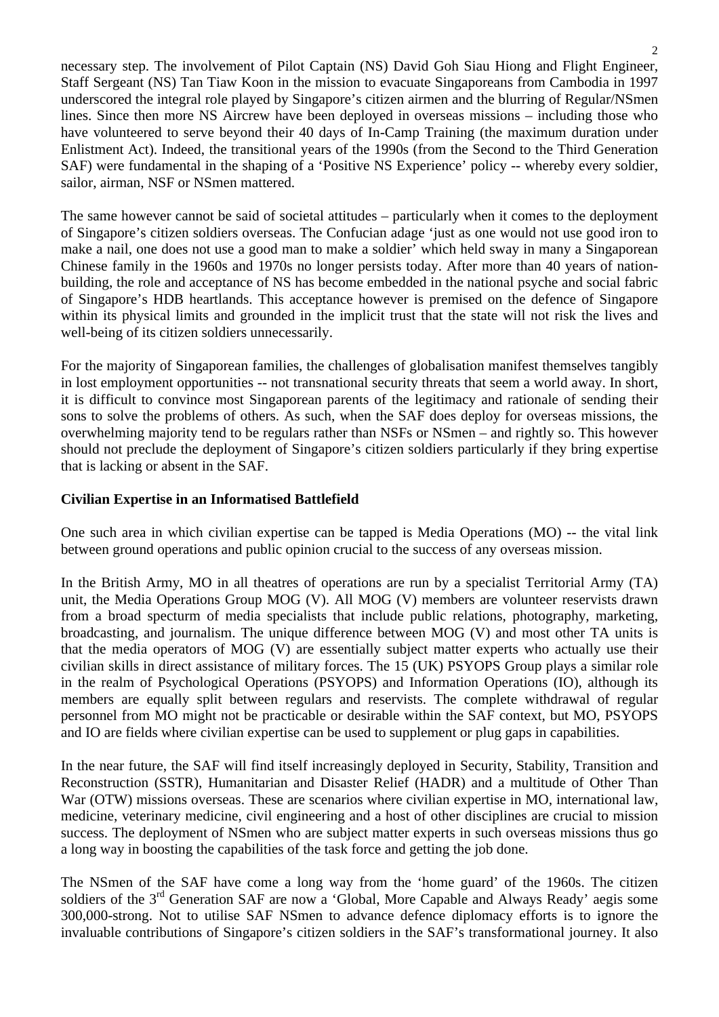necessary step. The involvement of Pilot Captain (NS) David Goh Siau Hiong and Flight Engineer, Staff Sergeant (NS) Tan Tiaw Koon in the mission to evacuate Singaporeans from Cambodia in 1997 underscored the integral role played by Singapore's citizen airmen and the blurring of Regular/NSmen lines. Since then more NS Aircrew have been deployed in overseas missions – including those who have volunteered to serve beyond their 40 days of In-Camp Training (the maximum duration under Enlistment Act). Indeed, the transitional years of the 1990s (from the Second to the Third Generation SAF) were fundamental in the shaping of a 'Positive NS Experience' policy -- whereby every soldier, sailor, airman, NSF or NSmen mattered.

The same however cannot be said of societal attitudes – particularly when it comes to the deployment of Singapore's citizen soldiers overseas. The Confucian adage 'just as one would not use good iron to make a nail, one does not use a good man to make a soldier' which held sway in many a Singaporean Chinese family in the 1960s and 1970s no longer persists today. After more than 40 years of nationbuilding, the role and acceptance of NS has become embedded in the national psyche and social fabric of Singapore's HDB heartlands. This acceptance however is premised on the defence of Singapore within its physical limits and grounded in the implicit trust that the state will not risk the lives and well-being of its citizen soldiers unnecessarily.

For the majority of Singaporean families, the challenges of globalisation manifest themselves tangibly in lost employment opportunities -- not transnational security threats that seem a world away. In short, it is difficult to convince most Singaporean parents of the legitimacy and rationale of sending their sons to solve the problems of others. As such, when the SAF does deploy for overseas missions, the overwhelming majority tend to be regulars rather than NSFs or NSmen – and rightly so. This however should not preclude the deployment of Singapore's citizen soldiers particularly if they bring expertise that is lacking or absent in the SAF.

## **Civilian Expertise in an Informatised Battlefield**

One such area in which civilian expertise can be tapped is Media Operations (MO) -- the vital link between ground operations and public opinion crucial to the success of any overseas mission.

In the British Army, MO in all theatres of operations are run by a specialist Territorial Army (TA) unit, the Media Operations Group MOG (V). All MOG (V) members are volunteer reservists drawn from a broad specturm of media specialists that include public relations, photography, marketing, broadcasting, and journalism. The unique difference between MOG (V) and most other TA units is that the media operators of MOG (V) are essentially subject matter experts who actually use their civilian skills in direct assistance of military forces. The 15 (UK) PSYOPS Group plays a similar role in the realm of Psychological Operations (PSYOPS) and Information Operations (IO), although its members are equally split between regulars and reservists. The complete withdrawal of regular personnel from MO might not be practicable or desirable within the SAF context, but MO, PSYOPS and IO are fields where civilian expertise can be used to supplement or plug gaps in capabilities.

In the near future, the SAF will find itself increasingly deployed in Security, Stability, Transition and Reconstruction (SSTR), Humanitarian and Disaster Relief (HADR) and a multitude of Other Than War (OTW) missions overseas. These are scenarios where civilian expertise in MO, international law, medicine, veterinary medicine, civil engineering and a host of other disciplines are crucial to mission success. The deployment of NSmen who are subject matter experts in such overseas missions thus go a long way in boosting the capabilities of the task force and getting the job done.

The NSmen of the SAF have come a long way from the 'home guard' of the 1960s. The citizen soldiers of the 3<sup>rd</sup> Generation SAF are now a 'Global, More Capable and Always Ready' aegis some 300,000-strong. Not to utilise SAF NSmen to advance defence diplomacy efforts is to ignore the invaluable contributions of Singapore's citizen soldiers in the SAF's transformational journey. It also